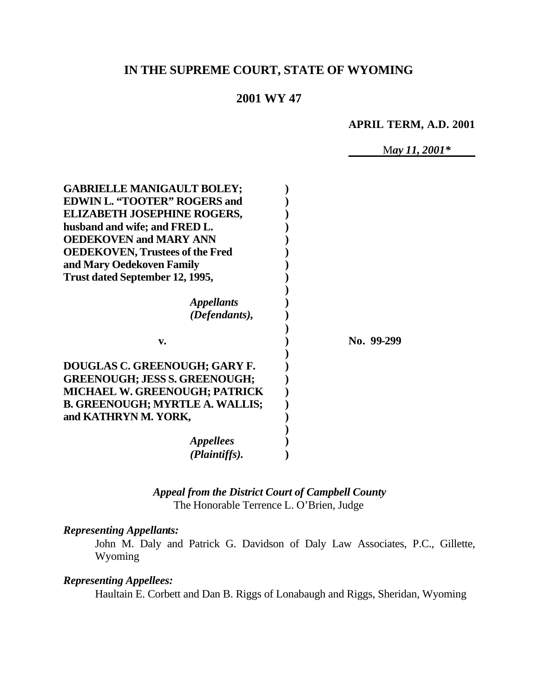# **IN THE SUPREME COURT, STATE OF WYOMING**

## **2001 WY 47**

#### **APRIL TERM, A.D. 2001**

M*ay 11, 2001\**

| <b>GABRIELLE MANIGAULT BOLEY;</b>      |            |
|----------------------------------------|------------|
| <b>EDWIN L. "TOOTER" ROGERS and</b>    |            |
| <b>ELIZABETH JOSEPHINE ROGERS,</b>     |            |
| husband and wife; and FRED L.          |            |
| <b>OEDEKOVEN and MARY ANN</b>          |            |
| <b>OEDEKOVEN, Trustees of the Fred</b> |            |
| and Mary Oedekoven Family              |            |
| Trust dated September 12, 1995,        |            |
| <i><b>Appellants</b></i>               |            |
| (Defendants),                          |            |
|                                        |            |
| v.                                     | No. 99-299 |
|                                        |            |
| DOUGLAS C. GREENOUGH; GARY F.          |            |
| <b>GREENOUGH; JESS S. GREENOUGH;</b>   |            |
| <b>MICHAEL W. GREENOUGH; PATRICK</b>   |            |
| <b>B. GREENOUGH; MYRTLE A. WALLIS;</b> |            |
| and KATHRYN M. YORK,                   |            |
| <i><b>Appellees</b></i>                |            |
| (Plaintiffs).                          |            |

*Appeal from the District Court of Campbell County* The Honorable Terrence L. O'Brien, Judge

### *Representing Appellants:*

John M. Daly and Patrick G. Davidson of Daly Law Associates, P.C., Gillette, Wyoming

## *Representing Appellees:*

Haultain E. Corbett and Dan B. Riggs of Lonabaugh and Riggs, Sheridan, Wyoming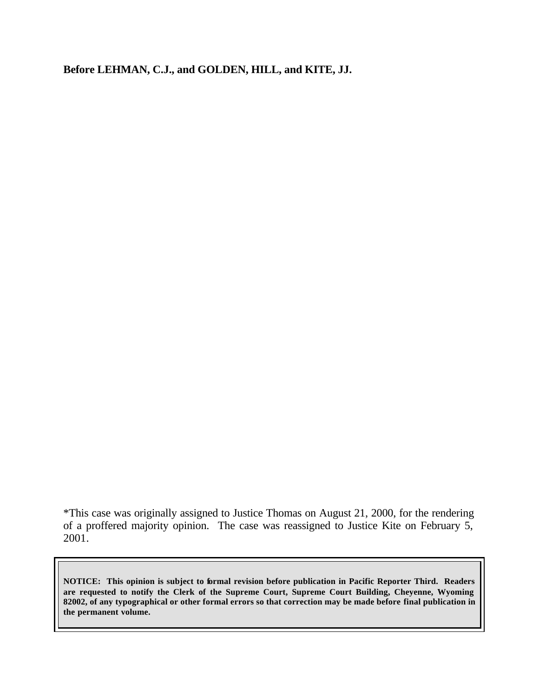**Before LEHMAN, C.J., and GOLDEN, HILL, and KITE, JJ.**

\*This case was originally assigned to Justice Thomas on August 21, 2000, for the rendering of a proffered majority opinion. The case was reassigned to Justice Kite on February 5, 2001.

**NOTICE: This opinion is subject to formal revision before publication in Pacific Reporter Third. Readers are requested to notify the Clerk of the Supreme Court, Supreme Court Building, Cheyenne, Wyoming 82002, of any typographical or other formal errors so that correction may be made before final publication in the permanent volume.**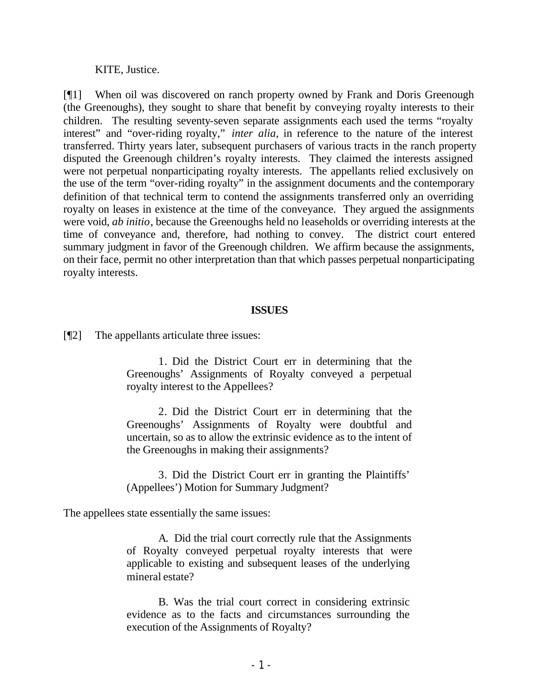KITE, Justice.

[¶1] When oil was discovered on ranch property owned by Frank and Doris Greenough (the Greenoughs), they sought to share that benefit by conveying royalty interests to their children. The resulting seventy-seven separate assignments each used the terms "royalty interest" and "over-riding royalty," *inter alia*, in reference to the nature of the interest transferred. Thirty years later, subsequent purchasers of various tracts in the ranch property disputed the Greenough children's royalty interests. They claimed the interests assigned were not perpetual nonparticipating royalty interests. The appellants relied exclusively on the use of the term "over-riding royalty" in the assignment documents and the contemporary definition of that technical term to contend the assignments transferred only an overriding royalty on leases in existence at the time of the conveyance. They argued the assignments were void, *ab initio*, because the Greenoughs held no leaseholds or overriding interests at the time of conveyance and, therefore, had nothing to convey. The district court entered summary judgment in favor of the Greenough children. We affirm because the assignments, on their face, permit no other interpretation than that which passes perpetual nonparticipating royalty interests.

#### **ISSUES**

[¶2] The appellants articulate three issues:

1. Did the District Court err in determining that the Greenoughs' Assignments of Royalty conveyed a perpetual royalty interest to the Appellees?

2. Did the District Court err in determining that the Greenoughs' Assignments of Royalty were doubtful and uncertain, so as to allow the extrinsic evidence as to the intent of the Greenoughs in making their assignments?

3. Did the District Court err in granting the Plaintiffs' (Appellees') Motion for Summary Judgment?

The appellees state essentially the same issues:

A. Did the trial court correctly rule that the Assignments of Royalty conveyed perpetual royalty interests that were applicable to existing and subsequent leases of the underlying mineral estate?

B. Was the trial court correct in considering extrinsic evidence as to the facts and circumstances surrounding the execution of the Assignments of Royalty?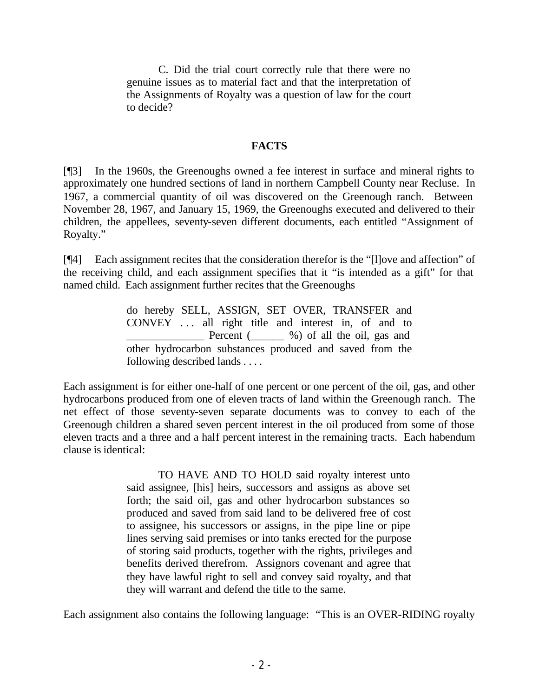C. Did the trial court correctly rule that there were no genuine issues as to material fact and that the interpretation of the Assignments of Royalty was a question of law for the court to decide?

#### **FACTS**

[¶3] In the 1960s, the Greenoughs owned a fee interest in surface and mineral rights to approximately one hundred sections of land in northern Campbell County near Recluse. In 1967, a commercial quantity of oil was discovered on the Greenough ranch. Between November 28, 1967, and January 15, 1969, the Greenoughs executed and delivered to their children, the appellees, seventy-seven different documents, each entitled "Assignment of Royalty."

[¶4] Each assignment recites that the consideration therefor is the "[l]ove and affection" of the receiving child, and each assignment specifies that it "is intended as a gift" for that named child. Each assignment further recites that the Greenoughs

> do hereby SELL, ASSIGN, SET OVER, TRANSFER and CONVEY . . . all right title and interest in, of and to **EXECUTE:** Percent (2004) of all the oil, gas and other hydrocarbon substances produced and saved from the following described lands . . . .

Each assignment is for either one-half of one percent or one percent of the oil, gas, and other hydrocarbons produced from one of eleven tracts of land within the Greenough ranch. The net effect of those seventy-seven separate documents was to convey to each of the Greenough children a shared seven percent interest in the oil produced from some of those eleven tracts and a three and a half percent interest in the remaining tracts. Each habendum clause is identical:

> TO HAVE AND TO HOLD said royalty interest unto said assignee, [his] heirs, successors and assigns as above set forth; the said oil, gas and other hydrocarbon substances so produced and saved from said land to be delivered free of cost to assignee, his successors or assigns, in the pipe line or pipe lines serving said premises or into tanks erected for the purpose of storing said products, together with the rights, privileges and benefits derived therefrom. Assignors covenant and agree that they have lawful right to sell and convey said royalty, and that they will warrant and defend the title to the same.

Each assignment also contains the following language: "This is an OVER-RIDING royalty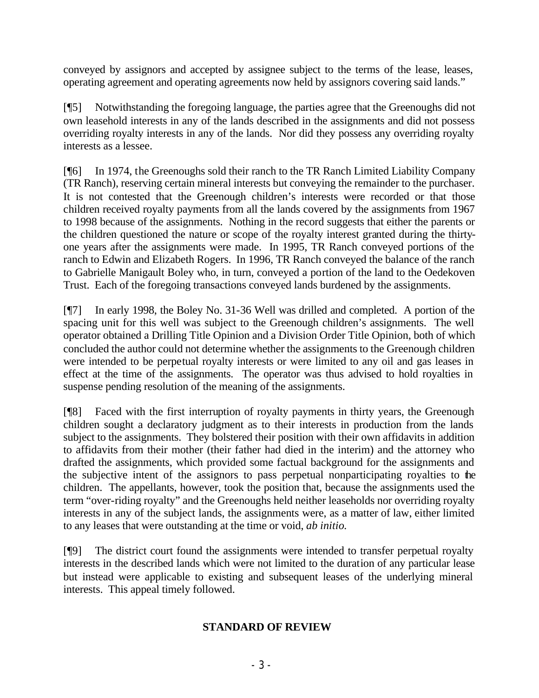conveyed by assignors and accepted by assignee subject to the terms of the lease, leases, operating agreement and operating agreements now held by assignors covering said lands."

[¶5] Notwithstanding the foregoing language, the parties agree that the Greenoughs did not own leasehold interests in any of the lands described in the assignments and did not possess overriding royalty interests in any of the lands. Nor did they possess any overriding royalty interests as a lessee.

[¶6] In 1974, the Greenoughs sold their ranch to the TR Ranch Limited Liability Company (TR Ranch), reserving certain mineral interests but conveying the remainder to the purchaser. It is not contested that the Greenough children's interests were recorded or that those children received royalty payments from all the lands covered by the assignments from 1967 to 1998 because of the assignments. Nothing in the record suggests that either the parents or the children questioned the nature or scope of the royalty interest granted during the thirtyone years after the assignments were made. In 1995, TR Ranch conveyed portions of the ranch to Edwin and Elizabeth Rogers. In 1996, TR Ranch conveyed the balance of the ranch to Gabrielle Manigault Boley who, in turn, conveyed a portion of the land to the Oedekoven Trust. Each of the foregoing transactions conveyed lands burdened by the assignments.

[¶7] In early 1998, the Boley No. 31-36 Well was drilled and completed. A portion of the spacing unit for this well was subject to the Greenough children's assignments. The well operator obtained a Drilling Title Opinion and a Division Order Title Opinion, both of which concluded the author could not determine whether the assignments to the Greenough children were intended to be perpetual royalty interests or were limited to any oil and gas leases in effect at the time of the assignments. The operator was thus advised to hold royalties in suspense pending resolution of the meaning of the assignments.

[¶8] Faced with the first interruption of royalty payments in thirty years, the Greenough children sought a declaratory judgment as to their interests in production from the lands subject to the assignments. They bolstered their position with their own affidavits in addition to affidavits from their mother (their father had died in the interim) and the attorney who drafted the assignments, which provided some factual background for the assignments and the subjective intent of the assignors to pass perpetual nonparticipating royalties to the children. The appellants, however, took the position that, because the assignments used the term "over-riding royalty" and the Greenoughs held neither leaseholds nor overriding royalty interests in any of the subject lands, the assignments were, as a matter of law, either limited to any leases that were outstanding at the time or void, *ab initio.*

[¶9] The district court found the assignments were intended to transfer perpetual royalty interests in the described lands which were not limited to the duration of any particular lease but instead were applicable to existing and subsequent leases of the underlying mineral interests. This appeal timely followed.

# **STANDARD OF REVIEW**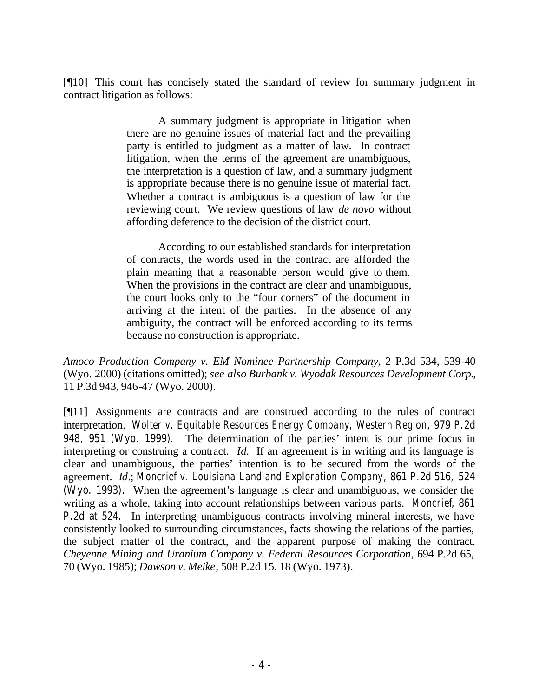[¶10] This court has concisely stated the standard of review for summary judgment in contract litigation as follows:

> A summary judgment is appropriate in litigation when there are no genuine issues of material fact and the prevailing party is entitled to judgment as a matter of law. In contract litigation, when the terms of the agreement are unambiguous, the interpretation is a question of law, and a summary judgment is appropriate because there is no genuine issue of material fact. Whether a contract is ambiguous is a question of law for the reviewing court. We review questions of law *de novo* without affording deference to the decision of the district court.

> According to our established standards for interpretation of contracts, the words used in the contract are afforded the plain meaning that a reasonable person would give to them. When the provisions in the contract are clear and unambiguous, the court looks only to the "four corners" of the document in arriving at the intent of the parties. In the absence of any ambiguity, the contract will be enforced according to its terms because no construction is appropriate.

*Amoco Production Company v. EM Nominee Partnership Company*, 2 P.3d 534, 539-40 (Wyo. 2000) (citations omitted); *see also Burbank v. Wyodak Resources Development Corp.*, 11 P.3d 943, 946-47 (Wyo. 2000).

[¶11] Assignments are contracts and are construed according to the rules of contract interpretation. *Wolter v. Equitable Resources Energy Company, Western Region*, 979 P.2d 948, 951 (Wyo. 1999). The determination of the parties' intent is our prime focus in interpreting or construing a contract. *Id.* If an agreement is in writing and its language is clear and unambiguous, the parties' intention is to be secured from the words of the agreement. *Id*.; *Moncrief v. Louisiana Land and Exploration Company*, 861 P.2d 516, 524 (Wyo. 1993). When the agreement's language is clear and unambiguous, we consider the writing as a whole, taking into account relationships between various parts. *Moncrief*, 861 P.2d at 524. In interpreting unambiguous contracts involving mineral interests, we have consistently looked to surrounding circumstances, facts showing the relations of the parties, the subject matter of the contract, and the apparent purpose of making the contract. *Cheyenne Mining and Uranium Company v. Federal Resources Corporation*, 694 P.2d 65, 70 (Wyo. 1985); *Dawson v. Meike*, 508 P.2d 15, 18 (Wyo. 1973).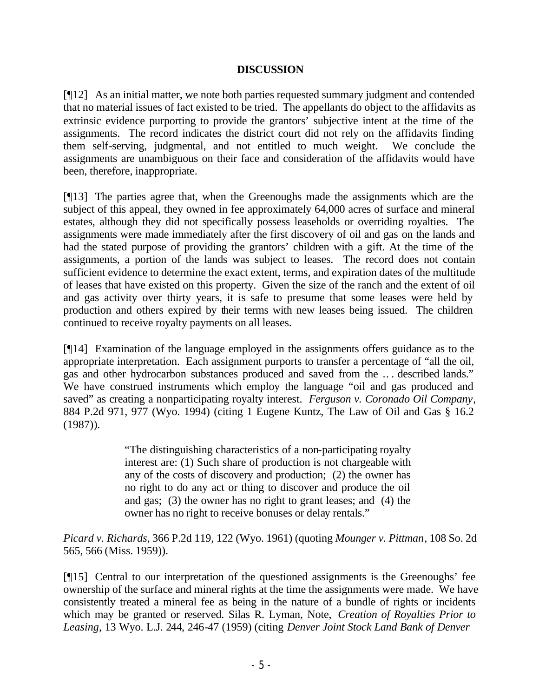### **DISCUSSION**

[¶12] As an initial matter, we note both parties requested summary judgment and contended that no material issues of fact existed to be tried. The appellants do object to the affidavits as extrinsic evidence purporting to provide the grantors' subjective intent at the time of the assignments. The record indicates the district court did not rely on the affidavits finding them self-serving, judgmental, and not entitled to much weight. We conclude the assignments are unambiguous on their face and consideration of the affidavits would have been, therefore, inappropriate.

[¶13] The parties agree that, when the Greenoughs made the assignments which are the subject of this appeal, they owned in fee approximately 64,000 acres of surface and mineral estates, although they did not specifically possess leaseholds or overriding royalties. The assignments were made immediately after the first discovery of oil and gas on the lands and had the stated purpose of providing the grantors' children with a gift. At the time of the assignments, a portion of the lands was subject to leases. The record does not contain sufficient evidence to determine the exact extent, terms, and expiration dates of the multitude of leases that have existed on this property. Given the size of the ranch and the extent of oil and gas activity over thirty years, it is safe to presume that some leases were held by production and others expired by their terms with new leases being issued. The children continued to receive royalty payments on all leases.

[¶14] Examination of the language employed in the assignments offers guidance as to the appropriate interpretation. Each assignment purports to transfer a percentage of "all the oil, gas and other hydrocarbon substances produced and saved from the .. . described lands." We have construed instruments which employ the language "oil and gas produced and saved" as creating a nonparticipating royalty interest. *Ferguson v. Coronado Oil Company*, 884 P.2d 971, 977 (Wyo. 1994) (citing 1 Eugene Kuntz, The Law of Oil and Gas § 16.2 (1987)).

> "The distinguishing characteristics of a non-participating royalty interest are: (1) Such share of production is not chargeable with any of the costs of discovery and production; (2) the owner has no right to do any act or thing to discover and produce the oil and gas; (3) the owner has no right to grant leases; and (4) the owner has no right to receive bonuses or delay rentals."

*Picard v. Richards*, 366 P.2d 119, 122 (Wyo. 1961) (quoting *Mounger v. Pittman*, 108 So. 2d 565, 566 (Miss. 1959)).

[¶15] Central to our interpretation of the questioned assignments is the Greenoughs' fee ownership of the surface and mineral rights at the time the assignments were made. We have consistently treated a mineral fee as being in the nature of a bundle of rights or incidents which may be granted or reserved. Silas R. Lyman, Note, *Creation of Royalties Prior to Leasing*, 13 Wyo. L.J. 244, 246-47 (1959) (citing *Denver Joint Stock Land Bank of Denver*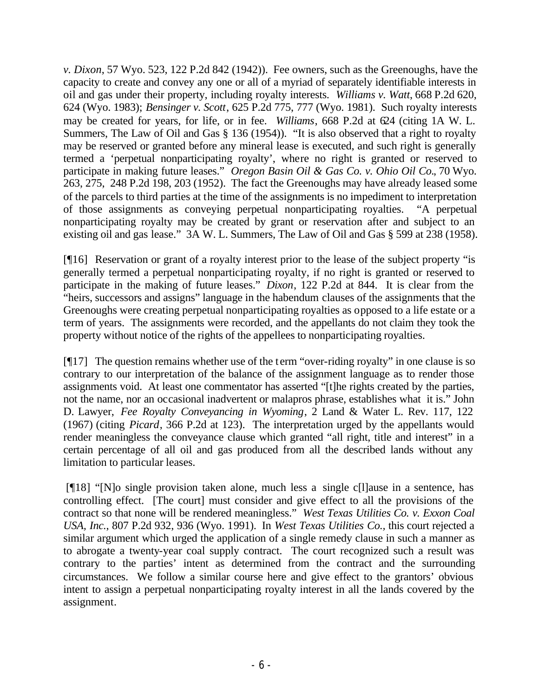*v. Dixon*, 57 Wyo. 523, 122 P.2d 842 (1942)). Fee owners, such as the Greenoughs, have the capacity to create and convey any one or all of a myriad of separately identifiable interests in oil and gas under their property, including royalty interests. *Williams v. Watt*, 668 P.2d 620, 624 (Wyo. 1983); *Bensinger v. Scott*, 625 P.2d 775, 777 (Wyo. 1981). Such royalty interests may be created for years, for life, or in fee. *Williams*, 668 P.2d at 624 (citing 1A W. L. Summers, The Law of Oil and Gas § 136 (1954)). "It is also observed that a right to royalty may be reserved or granted before any mineral lease is executed, and such right is generally termed a 'perpetual nonparticipating royalty', where no right is granted or reserved to participate in making future leases." *Oregon Basin Oil & Gas Co. v. Ohio Oil Co.*, 70 Wyo. 263, 275, 248 P.2d 198, 203 (1952). The fact the Greenoughs may have already leased some of the parcels to third parties at the time of the assignments is no impediment to interpretation of those assignments as conveying perpetual nonparticipating royalties. "A perpetual nonparticipating royalty may be created by grant or reservation after and subject to an existing oil and gas lease." 3A W. L. Summers, The Law of Oil and Gas § 599 at 238 (1958).

[¶16] Reservation or grant of a royalty interest prior to the lease of the subject property "is generally termed a perpetual nonparticipating royalty, if no right is granted or reserved to participate in the making of future leases." *Dixon*, 122 P.2d at 844. It is clear from the "heirs, successors and assigns" language in the habendum clauses of the assignments that the Greenoughs were creating perpetual nonparticipating royalties as opposed to a life estate or a term of years. The assignments were recorded, and the appellants do not claim they took the property without notice of the rights of the appellees to nonparticipating royalties.

[¶17] The question remains whether use of the term "over-riding royalty" in one clause is so contrary to our interpretation of the balance of the assignment language as to render those assignments void. At least one commentator has asserted "[t]he rights created by the parties, not the name, nor an occasional inadvertent or malapros phrase, establishes what it is." John D. Lawyer, *Fee Royalty Conveyancing in Wyoming*, 2 Land & Water L. Rev. 117, 122 (1967) (citing *Picard*, 366 P.2d at 123). The interpretation urged by the appellants would render meaningless the conveyance clause which granted "all right, title and interest" in a certain percentage of all oil and gas produced from all the described lands without any limitation to particular leases.

 [¶18] "[N]o single provision taken alone, much less a single c[l]ause in a sentence, has controlling effect. [The court] must consider and give effect to all the provisions of the contract so that none will be rendered meaningless." *West Texas Utilities Co. v. Exxon Coal USA, Inc.*, 807 P.2d 932, 936 (Wyo. 1991). In *West Texas Utilities Co.,* this court rejected a similar argument which urged the application of a single remedy clause in such a manner as to abrogate a twenty-year coal supply contract. The court recognized such a result was contrary to the parties' intent as determined from the contract and the surrounding circumstances. We follow a similar course here and give effect to the grantors' obvious intent to assign a perpetual nonparticipating royalty interest in all the lands covered by the assignment.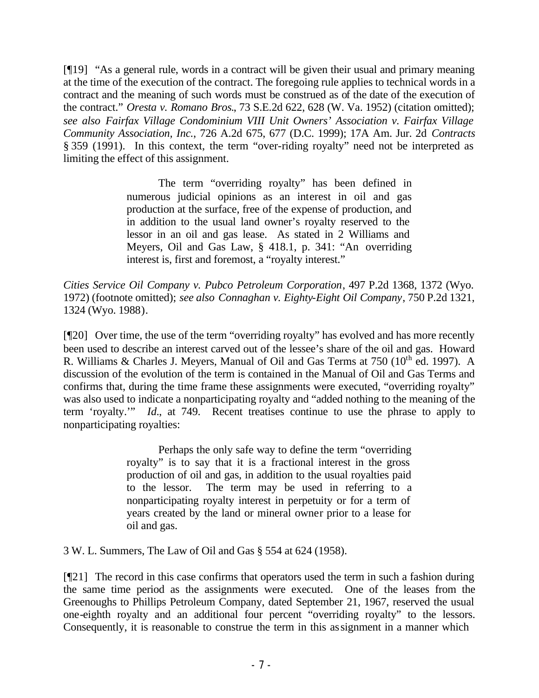[¶19] "As a general rule, words in a contract will be given their usual and primary meaning at the time of the execution of the contract. The foregoing rule applies to technical words in a contract and the meaning of such words must be construed as of the date of the execution of the contract." *Oresta v. Romano Bros.*, 73 S.E.2d 622, 628 (W. Va. 1952) (citation omitted); *see also Fairfax Village Condominium VIII Unit Owners' Association v. Fairfax Village Community Association, Inc.*, 726 A.2d 675, 677 (D.C. 1999); 17A Am. Jur. 2d *Contracts* § 359 (1991). In this context, the term "over-riding royalty" need not be interpreted as limiting the effect of this assignment.

> The term "overriding royalty" has been defined in numerous judicial opinions as an interest in oil and gas production at the surface, free of the expense of production, and in addition to the usual land owner's royalty reserved to the lessor in an oil and gas lease. As stated in 2 Williams and Meyers, Oil and Gas Law, § 418.1, p. 341: "An overriding interest is, first and foremost, a "royalty interest."

*Cities Service Oil Company v. Pubco Petroleum Corporation*, 497 P.2d 1368, 1372 (Wyo. 1972) (footnote omitted); *see also Connaghan v. Eighty-Eight Oil Company*, 750 P.2d 1321, 1324 (Wyo. 1988).

[¶20] Over time, the use of the term "overriding royalty" has evolved and has more recently been used to describe an interest carved out of the lessee's share of the oil and gas. Howard R. Williams & Charles J. Meyers, Manual of Oil and Gas Terms at 750 (10<sup>th</sup> ed. 1997). A discussion of the evolution of the term is contained in the Manual of Oil and Gas Terms and confirms that, during the time frame these assignments were executed, "overriding royalty" was also used to indicate a nonparticipating royalty and "added nothing to the meaning of the term 'royalty.'" *Id.*, at 749. Recent treatises continue to use the phrase to apply to nonparticipating royalties:

> Perhaps the only safe way to define the term "overriding royalty" is to say that it is a fractional interest in the gross production of oil and gas, in addition to the usual royalties paid to the lessor. The term may be used in referring to a nonparticipating royalty interest in perpetuity or for a term of years created by the land or mineral owner prior to a lease for oil and gas.

3 W. L. Summers, The Law of Oil and Gas § 554 at 624 (1958).

[¶21] The record in this case confirms that operators used the term in such a fashion during the same time period as the assignments were executed. One of the leases from the Greenoughs to Phillips Petroleum Company, dated September 21, 1967, reserved the usual one-eighth royalty and an additional four percent "overriding royalty" to the lessors. Consequently, it is reasonable to construe the term in this assignment in a manner which